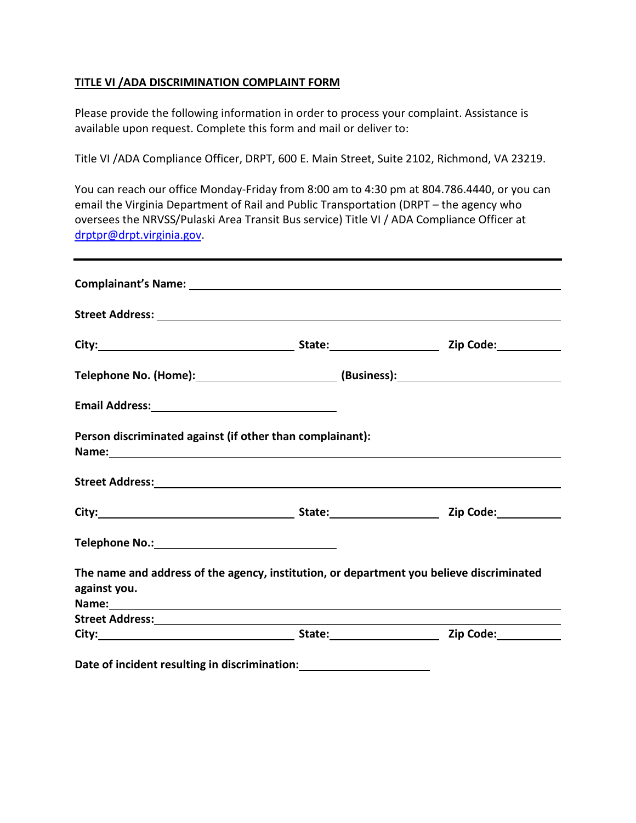## **TITLE VI /ADA DISCRIMINATION COMPLAINT FORM**

Please provide the following information in order to process your complaint. Assistance is available upon request. Complete this form and mail or deliver to:

Title VI /ADA Compliance Officer, DRPT, 600 E. Main Street, Suite 2102, Richmond, VA 23219.

You can reach our office Monday-Friday from 8:00 am to 4:30 pm at 804.786.4440, or you can email the Virginia Department of Rail and Public Transportation (DRPT – the agency who oversees the NRVSS/Pulaski Area Transit Bus service) Title VI / ADA Compliance Officer at [drptpr@drpt.virginia.gov.](mailto:drptpr@drpt.virginia.gov)

|                                                                                                                                                                                                                                                | Street Address: No. 2014 12:00:00 12:00:00 12:00:00 12:00:00 12:00:00 12:00:00 12:00:00 12:00:00 12:00:00 12:0 |  |
|------------------------------------------------------------------------------------------------------------------------------------------------------------------------------------------------------------------------------------------------|----------------------------------------------------------------------------------------------------------------|--|
|                                                                                                                                                                                                                                                |                                                                                                                |  |
|                                                                                                                                                                                                                                                |                                                                                                                |  |
| Email Address: <u>and a series of the series of the series of the series of the series of the series of the series of the series of the series of the series of the series of the series of the series of the series of the seri</u>           |                                                                                                                |  |
|                                                                                                                                                                                                                                                | Person discriminated against (if other than complainant):                                                      |  |
|                                                                                                                                                                                                                                                |                                                                                                                |  |
|                                                                                                                                                                                                                                                |                                                                                                                |  |
|                                                                                                                                                                                                                                                |                                                                                                                |  |
|                                                                                                                                                                                                                                                |                                                                                                                |  |
|                                                                                                                                                                                                                                                | The name and address of the agency, institution, or department you believe discriminated                       |  |
| Street Address: National Address: National Address: National Address: National Address: National Address: National Address: National Address: National Address: National Address: National Address: National Address: National<br>against you. |                                                                                                                |  |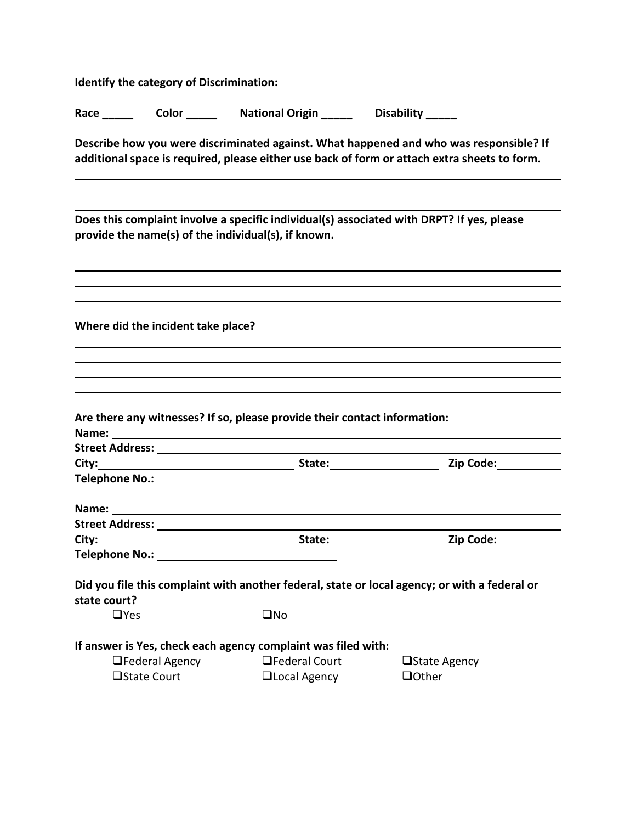**Identify the category of Discrimination:**

| Race | Color | <b>National Origin</b> | <b>Disability</b> |
|------|-------|------------------------|-------------------|
|      |       |                        |                   |

**Describe how you were discriminated against. What happened and who was responsible? If additional space is required, please either use back of form or attach extra sheets to form.**

**Does this complaint involve a specific individual(s) associated with DRPT? If yes, please provide the name(s) of the individual(s), if known.**

**Where did the incident take place?**

| Street Address: National Address and Address and Address and Address and Address and Address and Address and A                                                                 |                                            |                                                                                                                                                                                                                               |
|--------------------------------------------------------------------------------------------------------------------------------------------------------------------------------|--------------------------------------------|-------------------------------------------------------------------------------------------------------------------------------------------------------------------------------------------------------------------------------|
|                                                                                                                                                                                |                                            | City: City: City: City: City: City: City: City: City: City: City: City: City: City: City: City: City: City: City: City: City: City: City: City: City: City: City: City: City: City: City: City: City: City: City: City: City: |
|                                                                                                                                                                                |                                            |                                                                                                                                                                                                                               |
|                                                                                                                                                                                |                                            |                                                                                                                                                                                                                               |
|                                                                                                                                                                                |                                            |                                                                                                                                                                                                                               |
| $\Box$ Yes                                                                                                                                                                     | $\square$ No                               |                                                                                                                                                                                                                               |
| Did you file this complaint with another federal, state or local agency; or with a federal or<br>state court?<br>If answer is Yes, check each agency complaint was filed with: |                                            |                                                                                                                                                                                                                               |
|                                                                                                                                                                                | $\Box$ Federal Agency $\Box$ Federal Court | $\Box$ State Agency                                                                                                                                                                                                           |